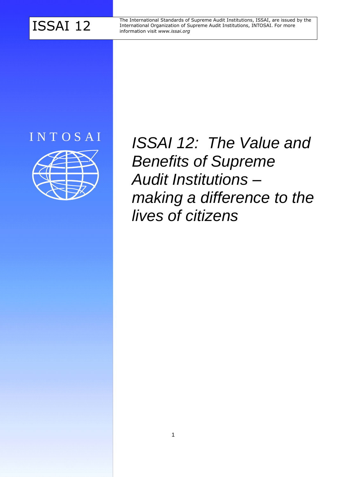The International Standards of Supreme Audit Institutions, ISSAI, are issued by the<br>ISSAI 12 International Organization of Supreme Audit Institutions, INTOSAI. For more<br>information visit *www.issai.org* International Organization of Supreme Audit Institutions, INTOSAI. For more information visit *www.issai.org*

# I N T O S A I



*ISSAI 12: The Value and Benefits of Supreme Audit Institutions – making a difference to the lives of citizens*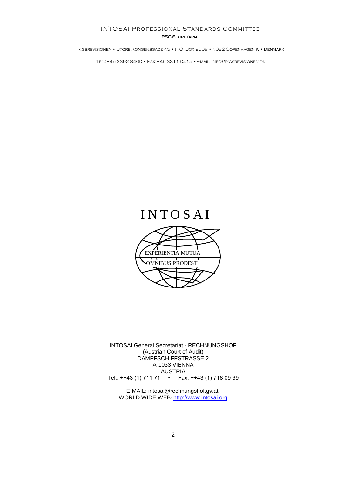#### PSC-SECRETARIAT

Rigsrevisionen • Store Kongensgade 45 • P.O. Box 9009 • 1022 Copenhagen K • Denmark

Tel.:+45 3392 8400 • Fax:+45 3311 0415 •E-mail: info@rigsrevisionen.dk

# **INTOSAI**



INTOSAI General Secretariat - RECHNUNGSHOF (Austrian Court of Audit) DAMPFSCHIFFSTRASSE 2 A-1033 VIENNA AUSTRIA Tel.: ++43 (1) 711 71 • Fax: ++43 (1) 718 09 69

E-MAIL: intosai@rechnungshof.gv.at; WORLD WIDE WEB: [http://www.intosai.org](http://www.intosai.org/)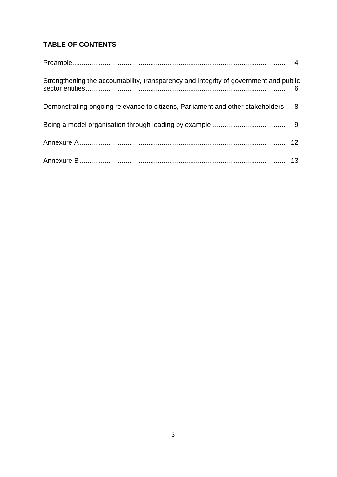### **TABLE OF CONTENTS**

| Strengthening the accountability, transparency and integrity of government and public |  |
|---------------------------------------------------------------------------------------|--|
| Demonstrating ongoing relevance to citizens, Parliament and other stakeholders  8     |  |
|                                                                                       |  |
|                                                                                       |  |
|                                                                                       |  |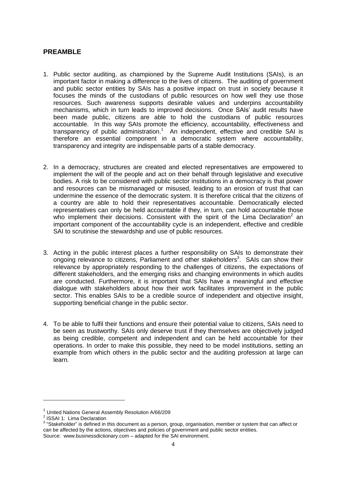#### <span id="page-3-0"></span>**PREAMBLE**

- 1. Public sector auditing, as championed by the Supreme Audit Institutions (SAIs), is an important factor in making a difference to the lives of citizens. The auditing of government and public sector entities by SAIs has a positive impact on trust in society because it focuses the minds of the custodians of public resources on how well they use those resources. Such awareness supports desirable values and underpins accountability mechanisms, which in turn leads to improved decisions. Once SAIs' audit results have been made public, citizens are able to hold the custodians of public resources accountable. In this way SAIs promote the efficiency, accountability, effectiveness and transparency of public administration.<sup>1</sup> An independent, effective and credible SAI is therefore an essential component in a democratic system where accountability, transparency and integrity are indispensable parts of a stable democracy.
- 2. In a democracy, structures are created and elected representatives are empowered to implement the will of the people and act on their behalf through legislative and executive bodies. A risk to be considered with public sector institutions in a democracy is that power and resources can be mismanaged or misused, leading to an erosion of trust that can undermine the essence of the democratic system. It is therefore critical that the citizens of a country are able to hold their representatives accountable. Democratically elected representatives can only be held accountable if they, in turn, can hold accountable those who implement their decisions. Consistent with the spirit of the Lima Declaration<sup>2</sup> an important component of the accountability cycle is an independent, effective and credible SAI to scrutinise the stewardship and use of public resources.
- 3. Acting in the public interest places a further responsibility on SAIs to demonstrate their ongoing relevance to citizens, Parliament and other stakeholders<sup>3</sup>. SAIs can show their relevance by appropriately responding to the challenges of citizens, the expectations of different stakeholders, and the emerging risks and changing environments in which audits are conducted. Furthermore, it is important that SAIs have a meaningful and effective dialogue with stakeholders about how their work facilitates improvement in the public sector. This enables SAIs to be a credible source of independent and objective insight, supporting beneficial change in the public sector.
- 4. To be able to fulfil their functions and ensure their potential value to citizens, SAIs need to be seen as trustworthy. SAIs only deserve trust if they themselves are objectively judged as being credible, competent and independent and can be held accountable for their operations. In order to make this possible, they need to be model institutions, setting an example from which others in the public sector and the auditing profession at large can learn.

<sup>1</sup> United Nations General Assembly Resolution A/66/209

<sup>&</sup>lt;sup>2</sup> ISSAI 1: Lima Declaration

 $3$  "Stakeholder" is defined in this document as a [person,](http://www.businessdictionary.com/definition/person.html) [group,](http://www.businessdictionary.com/definition/group.html) organisation, member or system that can affect or can be affected by the [actions,](http://www.businessdictionary.com/definition/action.html) [objectives](http://www.businessdictionary.com/definition/objective.html) and policies of government and public sector entities. Source: www.businessdictionary.com – adapted for the SAI environment.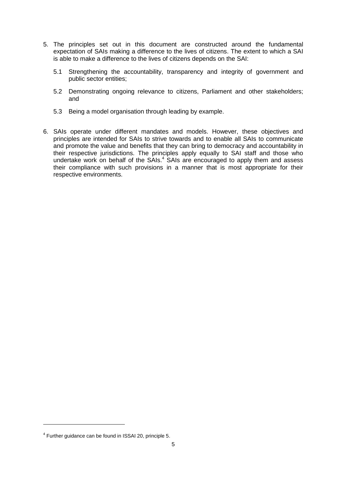- 5. The principles set out in this document are constructed around the fundamental expectation of SAIs making a difference to the lives of citizens. The extent to which a SAI is able to make a difference to the lives of citizens depends on the SAI:
	- 5.1 Strengthening the accountability, transparency and integrity of government and public sector entities;
	- 5.2 Demonstrating ongoing relevance to citizens, Parliament and other stakeholders; and
	- 5.3 Being a model organisation through leading by example.
- 6. SAIs operate under different mandates and models. However, these objectives and principles are intended for SAIs to strive towards and to enable all SAIs to communicate and promote the value and benefits that they can bring to democracy and accountability in their respective jurisdictions. The principles apply equally to SAI staff and those who undertake work on behalf of the SAIs.<sup>4</sup> SAIs are encouraged to apply them and assess their compliance with such provisions in a manner that is most appropriate for their respective environments.

l

<sup>&</sup>lt;sup>4</sup> Further guidance can be found in ISSAI 20, principle 5.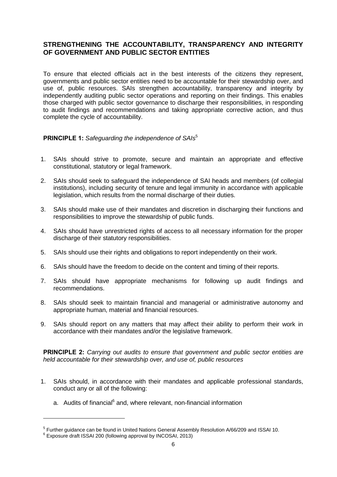#### <span id="page-5-0"></span>**STRENGTHENING THE ACCOUNTABILITY, TRANSPARENCY AND INTEGRITY OF GOVERNMENT AND PUBLIC SECTOR ENTITIES**

To ensure that elected officials act in the best interests of the citizens they represent, governments and public sector entities need to be accountable for their stewardship over, and use of, public resources. SAIs strengthen accountability, transparency and integrity by independently auditing public sector operations and reporting on their findings. This enables those charged with public sector governance to discharge their responsibilities, in responding to audit findings and recommendations and taking appropriate corrective action, and thus complete the cycle of accountability.

#### **PRINCIPLE 1:** *Safeguarding the independence of SAIs*<sup>5</sup>

- 1. SAIs should strive to promote, secure and maintain an appropriate and effective constitutional, statutory or legal framework.
- 2. SAIs should seek to safeguard the independence of SAI heads and members (of collegial institutions), including security of tenure and legal immunity in accordance with applicable legislation, which results from the normal discharge of their duties.
- 3. SAIs should make use of their mandates and discretion in discharging their functions and responsibilities to improve the stewardship of public funds.
- 4. SAIs should have unrestricted rights of access to all necessary information for the proper discharge of their statutory responsibilities.
- 5. SAIs should use their rights and obligations to report independently on their work.
- 6. SAIs should have the freedom to decide on the content and timing of their reports.
- 7. SAIs should have appropriate mechanisms for following up audit findings and recommendations.
- 8. SAIs should seek to maintain financial and managerial or administrative autonomy and appropriate human, material and financial resources.
- 9. SAIs should report on any matters that may affect their ability to perform their work in accordance with their mandates and/or the legislative framework.

**PRINCIPLE 2:** *Carrying out audits to ensure that government and public sector entities are held accountable for their stewardship over, and use of, public resources*

- 1. SAIs should, in accordance with their mandates and applicable professional standards, conduct any or all of the following:
	- a. Audits of financial<sup>6</sup> and, where relevant, non-financial information

<sup>&</sup>lt;sup>5</sup> Further guidance can be found in United Nations General Assembly Resolution A/66/209 and ISSAI 10.

<sup>6</sup> Exposure draft ISSAI 200 (following approval by INCOSAI, 2013)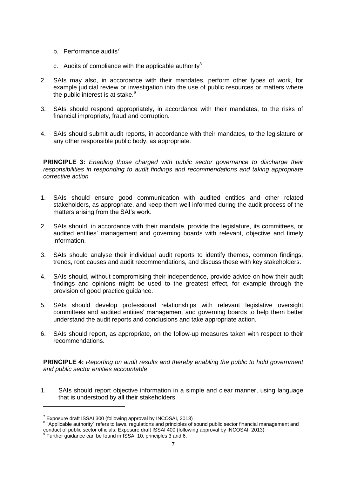- b. Performance audits<sup>7</sup>
- c. Audits of compliance with the applicable authority $^8$
- 2. SAIs may also, in accordance with their mandates, perform other types of work, for example judicial review or investigation into the use of public resources or matters where the public interest is at stake. $9$
- 3. SAIs should respond appropriately, in accordance with their mandates, to the risks of financial impropriety, fraud and corruption.
- 4. SAIs should submit audit reports, in accordance with their mandates, to the legislature or any other responsible public body, as appropriate.

**PRINCIPLE 3:** *Enabling those charged with public sector governance to discharge their responsibilities in responding to audit findings and recommendations and taking appropriate corrective action*

- 1. SAIs should ensure good communication with audited entities and other related stakeholders, as appropriate, and keep them well informed during the audit process of the matters arising from the SAI's work.
- 2. SAIs should, in accordance with their mandate, provide the legislature, its committees, or audited entities' management and governing boards with relevant, objective and timely information.
- 3. SAIs should analyse their individual audit reports to identify themes, common findings, trends, root causes and audit recommendations, and discuss these with key stakeholders.
- 4. SAIs should, without compromising their independence, provide advice on how their audit findings and opinions might be used to the greatest effect, for example through the provision of good practice guidance.
- 5. SAIs should develop professional relationships with relevant legislative oversight committees and audited entities' management and governing boards to help them better understand the audit reports and conclusions and take appropriate action.
- 6. SAIs should report, as appropriate, on the follow-up measures taken with respect to their recommendations.

**PRINCIPLE 4:** *Reporting on audit results and thereby enabling the public to hold government and public sector entities accountable*

1. SAIs should report objective information in a simple and clear manner, using language that is understood by all their stakeholders.

<sup>&</sup>lt;sup>7</sup> Exposure draft ISSAI 300 (following approval by INCOSAI, 2013)

<sup>&</sup>lt;sup>8</sup> "Applicable authority" refers to laws, regulations and principles of sound public sector financial management and conduct of public sector officials; Exposure draft ISSAI 400 (following approval by INCOSAI, 2013)<br><sup>9</sup> Further guidance can be found in ISSAI 10, principles 3 and 6.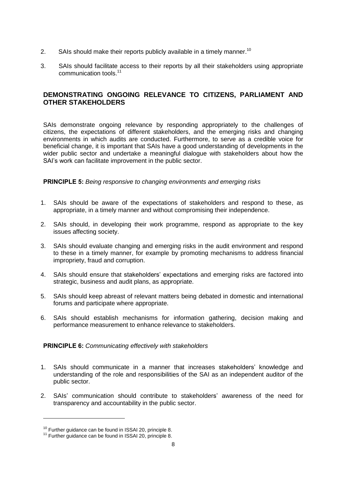- 2. SAIs should make their reports publicly available in a timely manner.<sup>10</sup>
- 3. SAIs should facilitate access to their reports by all their stakeholders using appropriate communication tools. 11

#### <span id="page-7-0"></span>**DEMONSTRATING ONGOING RELEVANCE TO CITIZENS, PARLIAMENT AND OTHER STAKEHOLDERS**

SAIs demonstrate ongoing relevance by responding appropriately to the challenges of citizens, the expectations of different stakeholders, and the emerging risks and changing environments in which audits are conducted. Furthermore, to serve as a credible voice for beneficial change, it is important that SAIs have a good understanding of developments in the wider public sector and undertake a meaningful dialogue with stakeholders about how the SAI's work can facilitate improvement in the public sector.

**PRINCIPLE 5:** *Being responsive to changing environments and emerging risks*

- 1. SAIs should be aware of the expectations of stakeholders and respond to these, as appropriate, in a timely manner and without compromising their independence.
- 2. SAIs should, in developing their work programme, respond as appropriate to the key issues affecting society.
- 3. SAIs should evaluate changing and emerging risks in the audit environment and respond to these in a timely manner, for example by promoting mechanisms to address financial impropriety, fraud and corruption.
- 4. SAIs should ensure that stakeholders' expectations and emerging risks are factored into strategic, business and audit plans, as appropriate.
- 5. SAIs should keep abreast of relevant matters being debated in domestic and international forums and participate where appropriate.
- 6. SAIs should establish mechanisms for information gathering, decision making and performance measurement to enhance relevance to stakeholders.

#### **PRINCIPLE 6:** *Communicating effectively with stakeholders*

- 1. SAIs should communicate in a manner that increases stakeholders' knowledge and understanding of the role and responsibilities of the SAI as an independent auditor of the public sector.
- 2. SAIs' communication should contribute to stakeholders' awareness of the need for transparency and accountability in the public sector.

<sup>&</sup>lt;sup>10</sup> Further guidance can be found in ISSAI 20, principle 8.

<sup>&</sup>lt;sup>11</sup> Further guidance can be found in ISSAI 20, principle 8.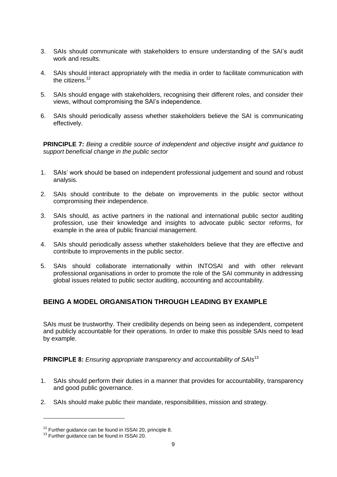- 3. SAIs should communicate with stakeholders to ensure understanding of the SAI's audit work and results.
- 4. SAIs should interact appropriately with the media in order to facilitate communication with the citizens.<sup>12</sup>
- 5. SAIs should engage with stakeholders, recognising their different roles, and consider their views, without compromising the SAI's independence.
- 6. SAIs should periodically assess whether stakeholders believe the SAI is communicating effectively.

**PRINCIPLE 7:** *Being a credible source of independent and objective insight and guidance to support beneficial change in the public sector*

- 1. SAIs' work should be based on independent professional judgement and sound and robust analysis.
- 2. SAIs should contribute to the debate on improvements in the public sector without compromising their independence.
- 3. SAIs should, as active partners in the national and international public sector auditing profession, use their knowledge and insights to advocate public sector reforms, for example in the area of public financial management.
- 4. SAIs should periodically assess whether stakeholders believe that they are effective and contribute to improvements in the public sector.
- 5. SAIs should collaborate internationally within INTOSAI and with other relevant professional organisations in order to promote the role of the SAI community in addressing global issues related to public sector auditing, accounting and accountability.

### <span id="page-8-0"></span>**BEING A MODEL ORGANISATION THROUGH LEADING BY EXAMPLE**

SAIs must be trustworthy. Their credibility depends on being seen as independent, competent and publicly accountable for their operations. In order to make this possible SAIs need to lead by example.

**PRINCIPLE 8:** *Ensuring appropriate transparency and accountability of SAIs* 13

- 1. SAIs should perform their duties in a manner that provides for accountability, transparency and good public governance.
- 2. SAIs should make public their mandate, responsibilities, mission and strategy.

<sup>&</sup>lt;sup>12</sup> Further guidance can be found in ISSAI 20, principle 8.

<sup>&</sup>lt;sup>13</sup> Further guidance can be found in ISSAI 20.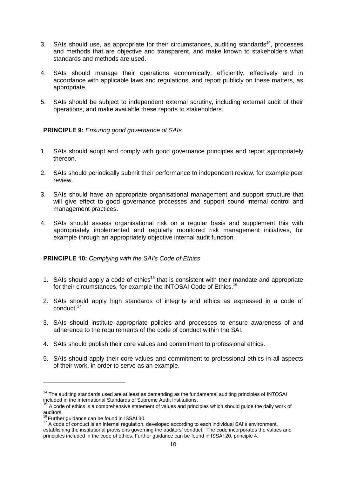- 3. SAIs should use, as appropriate for their circumstances, auditing standards<sup>14</sup>, processes and methods that are objective and transparent, and make known to stakeholders what standards and methods are used.
- 4. SAIs should manage their operations economically, efficiently, effectively and in accordance with applicable laws and regulations, and report publicly on these matters, as appropriate.
- 5. SAIs should be subject to independent external scrutiny, including external audit of their operations, and make available these reports to stakeholders.

#### **PRINCIPLE 9:** *Ensuring good governance of SAIs*

- 1. SAIs should adopt and comply with good governance principles and report appropriately thereon.
- 2. SAIs should periodically submit their performance to independent review, for example peer review.
- 3. SAIs should have an appropriate organisational management and support structure that will give effect to good governance processes and support sound internal control and management practices.
- 4. SAIs should assess organisational risk on a regular basis and supplement this with appropriately implemented and regularly monitored risk management initiatives, for example through an appropriately objective internal audit function.

#### **PRINCIPLE 10:** *Complying with the SAI's Code of Ethics*

- 1. SAIs should apply a code of ethics<sup>15</sup> that is consistent with their mandate and appropriate for their circumstances, for example the INTOSAI Code of Ethics.<sup>16</sup>
- 2. SAIs should apply high standards of integrity and ethics as expressed in a code of conduct.<sup>17</sup>
- 3. SAIs should institute appropriate policies and processes to ensure awareness of and adherence to the requirements of the code of conduct within the SAI.
- 4. SAIs should publish their core values and commitment to professional ethics.
- 5. SAIs should apply their core values and commitment to professional ethics in all aspects of their work, in order to serve as an example.

<sup>&</sup>lt;sup>14</sup> The auditing standards used are at least as demanding as the fundamental auditing principles of INTOSAI included in the International Standards of Supreme Audit Institutions.

 $15$  A code of ethics is a comprehensive statement of values and principles which should quide the daily work of auditors.

 $6$  Further guidance can be found in ISSAI 30.

<sup>&</sup>lt;sup>17</sup> A code of conduct is an internal regulation, developed according to each individual SAI's environment, establishing the institutional provisions governing the auditors' conduct. The code incorporates the values and principles included in the [code of ethics.](http://www.iia.org.uk/resources/global-guidance/code-of-ethics/) Further guidance can be found in ISSAI 20, principle 4.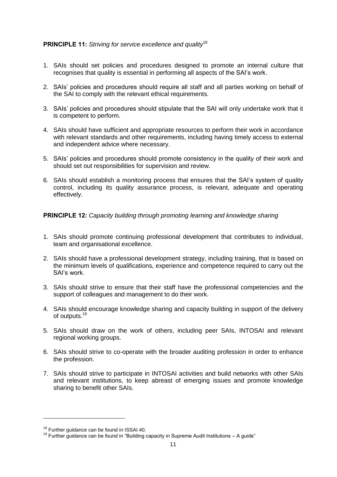#### **PRINCIPLE 11:** *Striving for service excellence and quality*<sup>18</sup>

- 1. SAIs should set policies and procedures designed to promote an internal culture that recognises that quality is essential in performing all aspects of the SAI's work.
- 2. SAIs' policies and procedures should require all staff and all parties working on behalf of the SAI to comply with the relevant ethical requirements.
- 3. SAIs' policies and procedures should stipulate that the SAI will only undertake work that it is competent to perform.
- 4. SAIs should have sufficient and appropriate resources to perform their work in accordance with relevant standards and other requirements, including having timely access to external and independent advice where necessary.
- 5. SAIs' policies and procedures should promote consistency in the quality of their work and should set out responsibilities for supervision and review.
- 6. SAIs should establish a monitoring process that ensures that the SAI's system of quality control, including its quality assurance process, is relevant, adequate and operating effectively.

**PRINCIPLE 12:** *Capacity building through promoting learning and knowledge sharing*

- 1. SAIs should promote continuing professional development that contributes to individual, team and organisational excellence.
- 2. SAIs should have a professional development strategy, including training, that is based on the minimum levels of qualifications, experience and competence required to carry out the SAI's work.
- 3. SAIs should strive to ensure that their staff have the professional competencies and the support of colleagues and management to do their work.
- 4. SAIs should encourage knowledge sharing and capacity building in support of the delivery of outputs.<sup>19</sup>
- 5. SAIs should draw on the work of others, including peer SAIs, INTOSAI and relevant regional working groups.
- 6. SAIs should strive to co-operate with the broader auditing profession in order to enhance the profession.
- 7. SAIs should strive to participate in INTOSAI activities and build networks with other SAIs and relevant institutions, to keep abreast of emerging issues and promote knowledge sharing to benefit other SAIs.

<sup>&</sup>lt;sup>18</sup> Further guidance can be found in ISSAI 40.

 $19$  Further guidance can be found in "Building capacity in Supreme Audit Institutions – A guide"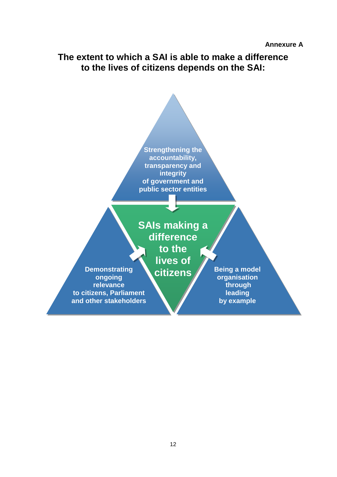<span id="page-11-0"></span>**The extent to which a SAI is able to make a difference to the lives of citizens depends on the SAI:**